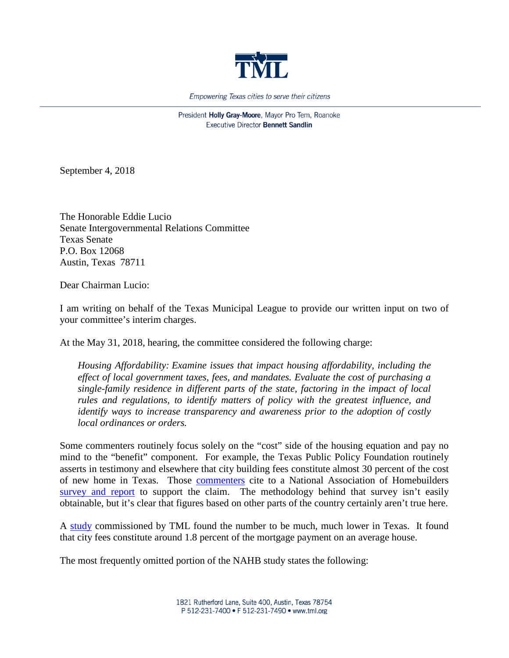

Empowering Texas cities to serve their citizens

President Holly Gray-Moore, Mayor Pro Tem, Roanoke **Executive Director Bennett Sandlin** 

September 4, 2018

The Honorable Eddie Lucio Senate Intergovernmental Relations Committee Texas Senate P.O. Box 12068 Austin, Texas 78711

Dear Chairman Lucio:

I am writing on behalf of the Texas Municipal League to provide our written input on two of your committee's interim charges.

At the May 31, 2018, hearing, the committee considered the following charge:

*Housing Affordability: Examine issues that impact housing affordability, including the effect of local government taxes, fees, and mandates. Evaluate the cost of purchasing a single-family residence in different parts of the state, factoring in the impact of local rules and regulations, to identify matters of policy with the greatest influence, and identify ways to increase transparency and awareness prior to the adoption of costly local ordinances or orders.*

Some commenters routinely focus solely on the "cost" side of the housing equation and pay no mind to the "benefit" component. For example, the Texas Public Policy Foundation routinely asserts in testimony and elsewhere that city building fees constitute almost 30 percent of the cost of new home in Texas. Those [commenters](https://www.texaspolicy.com/library/doclib/Bringing-Down-the-Housing-Restrictions.pdf) cite to a National Association of Homebuilders [survey and report](https://www.nahbclassic.org/generic.aspx?genericContentID=250611) to support the claim. The methodology behind that survey isn't easily obtainable, but it's clear that figures based on other parts of the country certainly aren't true here.

A [study](https://www.tml.org/p/TML%20Building%20Fee%20Study.pdf) commissioned by TML found the number to be much, much lower in Texas. It found that city fees constitute around 1.8 percent of the mortgage payment on an average house.

The most frequently omitted portion of the NAHB study states the following: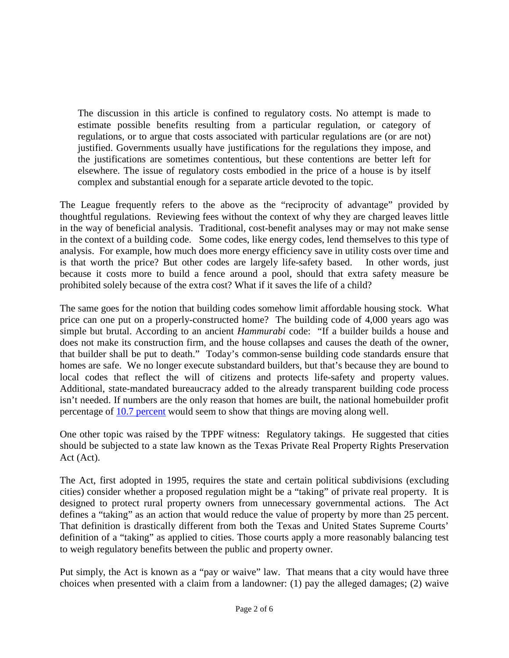The discussion in this article is confined to regulatory costs. No attempt is made to estimate possible benefits resulting from a particular regulation, or category of regulations, or to argue that costs associated with particular regulations are (or are not) justified. Governments usually have justifications for the regulations they impose, and the justifications are sometimes contentious, but these contentions are better left for elsewhere. The issue of regulatory costs embodied in the price of a house is by itself complex and substantial enough for a separate article devoted to the topic.

The League frequently refers to the above as the "reciprocity of advantage" provided by thoughtful regulations. Reviewing fees without the context of why they are charged leaves little in the way of beneficial analysis. Traditional, cost-benefit analyses may or may not make sense in the context of a building code. Some codes, like energy codes, lend themselves to this type of analysis. For example, how much does more energy efficiency save in utility costs over time and is that worth the price? But other codes are largely life-safety based. In other words, just because it costs more to build a fence around a pool, should that extra safety measure be prohibited solely because of the extra cost? What if it saves the life of a child?

The same goes for the notion that building codes somehow limit affordable housing stock. What price can one put on a properly-constructed home? The building code of 4,000 years ago was simple but brutal. According to an ancient *Hammurabi* code: "If a builder builds a house and does not make its construction firm, and the house collapses and causes the death of the owner, that builder shall be put to death." Today's common-sense building code standards ensure that homes are safe. We no longer execute substandard builders, but that's because they are bound to local codes that reflect the will of citizens and protects life-safety and property values. Additional, state-mandated bureaucracy added to the already transparent building code process isn't needed. If numbers are the only reason that homes are built, the national homebuilder profit percentage of [10.7 percent](https://www.nahbclassic.org/generic.aspx?sectionID=734&genericContentID=260013) would seem to show that things are moving along well.

One other topic was raised by the TPPF witness: Regulatory takings. He suggested that cities should be subjected to a state law known as the Texas Private Real Property Rights Preservation Act (Act).

The Act, first adopted in 1995, requires the state and certain political subdivisions (excluding cities) consider whether a proposed regulation might be a "taking" of private real property. It is designed to protect rural property owners from unnecessary governmental actions. The Act defines a "taking" as an action that would reduce the value of property by more than 25 percent. That definition is drastically different from both the Texas and United States Supreme Courts' definition of a "taking" as applied to cities. Those courts apply a more reasonably balancing test to weigh regulatory benefits between the public and property owner.

Put simply, the Act is known as a "pay or waive" law. That means that a city would have three choices when presented with a claim from a landowner: (1) pay the alleged damages; (2) waive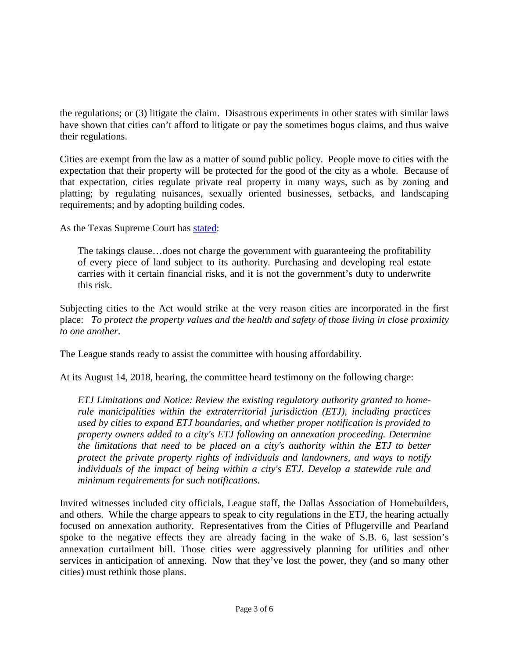the regulations; or (3) litigate the claim. Disastrous experiments in other states with similar laws have shown that cities can't afford to litigate or pay the sometimes bogus claims, and thus waive their regulations.

Cities are exempt from the law as a matter of sound public policy. People move to cities with the expectation that their property will be protected for the good of the city as a whole. Because of that expectation, cities regulate private real property in many ways, such as by zoning and platting; by regulating nuisances, sexually oriented businesses, setbacks, and landscaping requirements; and by adopting building codes.

As the Texas Supreme Court has [stated:](https://law.justia.com/cases/texas/supreme-court/2004/2000354.html)

The takings clause…does not charge the government with guaranteeing the profitability of every piece of land subject to its authority. Purchasing and developing real estate carries with it certain financial risks, and it is not the government's duty to underwrite this risk.

Subjecting cities to the Act would strike at the very reason cities are incorporated in the first place: *To protect the property values and the health and safety of those living in close proximity to one another*.

The League stands ready to assist the committee with housing affordability.

At its August 14, 2018, hearing, the committee heard testimony on the following charge:

*ETJ Limitations and Notice: Review the existing regulatory authority granted to homerule municipalities within the extraterritorial jurisdiction (ETJ), including practices used by cities to expand ETJ boundaries, and whether proper notification is provided to property owners added to a city's ETJ following an annexation proceeding. Determine the limitations that need to be placed on a city's authority within the ETJ to better protect the private property rights of individuals and landowners, and ways to notify individuals of the impact of being within a city's ETJ. Develop a statewide rule and minimum requirements for such notifications.*

Invited witnesses included city officials, League staff, the Dallas Association of Homebuilders, and others. While the charge appears to speak to city regulations in the ETJ, the hearing actually focused on annexation authority. Representatives from the Cities of Pflugerville and Pearland spoke to the negative effects they are already facing in the wake of S.B. 6, last session's annexation curtailment bill. Those cities were aggressively planning for utilities and other services in anticipation of annexing. Now that they've lost the power, they (and so many other cities) must rethink those plans.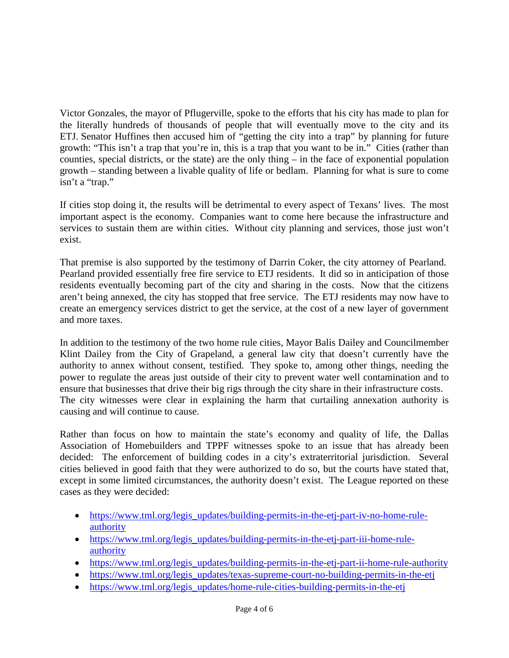Victor Gonzales, the mayor of Pflugerville, spoke to the efforts that his city has made to plan for the literally hundreds of thousands of people that will eventually move to the city and its ETJ. Senator Huffines then accused him of "getting the city into a trap" by planning for future growth: "This isn't a trap that you're in, this is a trap that you want to be in." Cities (rather than counties, special districts, or the state) are the only thing – in the face of exponential population growth – standing between a livable quality of life or bedlam. Planning for what is sure to come isn't a "trap."

If cities stop doing it, the results will be detrimental to every aspect of Texans' lives. The most important aspect is the economy. Companies want to come here because the infrastructure and services to sustain them are within cities. Without city planning and services, those just won't exist.

That premise is also supported by the testimony of Darrin Coker, the city attorney of Pearland. Pearland provided essentially free fire service to ETJ residents. It did so in anticipation of those residents eventually becoming part of the city and sharing in the costs. Now that the citizens aren't being annexed, the city has stopped that free service. The ETJ residents may now have to create an emergency services district to get the service, at the cost of a new layer of government and more taxes.

In addition to the testimony of the two home rule cities, Mayor Balis Dailey and Councilmember Klint Dailey from the City of Grapeland, a general law city that doesn't currently have the authority to annex without consent, testified. They spoke to, among other things, needing the power to regulate the areas just outside of their city to prevent water well contamination and to ensure that businesses that drive their big rigs through the city share in their infrastructure costs. The city witnesses were clear in explaining the harm that curtailing annexation authority is causing and will continue to cause.

Rather than focus on how to maintain the state's economy and quality of life, the Dallas Association of Homebuilders and TPPF witnesses spoke to an issue that has already been decided: The enforcement of building codes in a city's extraterritorial jurisdiction. Several cities believed in good faith that they were authorized to do so, but the courts have stated that, except in some limited circumstances, the authority doesn't exist. The League reported on these cases as they were decided:

- [https://www.tml.org/legis\\_updates/building-permits-in-the-etj-part-iv-no-home-rule](https://www.tml.org/legis_updates/building-permits-in-the-etj-part-iv-no-home-rule-authority)[authority](https://www.tml.org/legis_updates/building-permits-in-the-etj-part-iv-no-home-rule-authority)
- [https://www.tml.org/legis\\_updates/building-permits-in-the-etj-part-iii-home-rule](https://www.tml.org/legis_updates/building-permits-in-the-etj-part-iii-home-rule-authority)[authority](https://www.tml.org/legis_updates/building-permits-in-the-etj-part-iii-home-rule-authority)
- [https://www.tml.org/legis\\_updates/building-permits-in-the-etj-part-ii-home-rule-authority](https://www.tml.org/legis_updates/building-permits-in-the-etj-part-ii-home-rule-authority)
- [https://www.tml.org/legis\\_updates/texas-supreme-court-no-building-permits-in-the-etj](https://www.tml.org/legis_updates/texas-supreme-court-no-building-permits-in-the-etj)
- [https://www.tml.org/legis\\_updates/home-rule-cities-building-permits-in-the-etj](https://www.tml.org/legis_updates/home-rule-cities-building-permits-in-the-etj)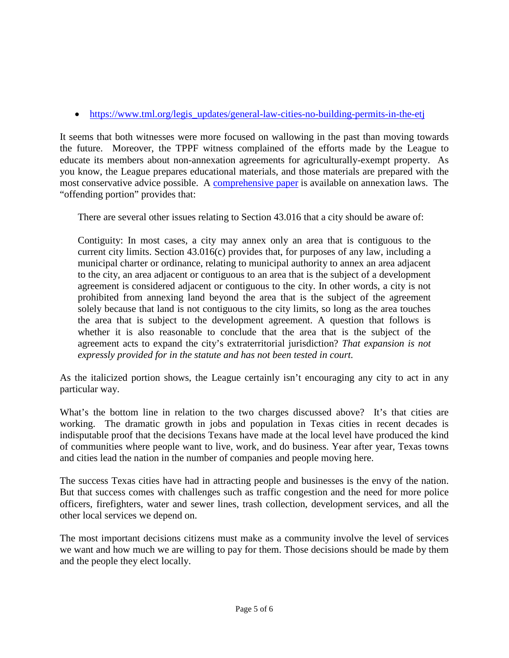• [https://www.tml.org/legis\\_updates/general-law-cities-no-building-permits-in-the-etj](https://www.tml.org/legis_updates/general-law-cities-no-building-permits-in-the-etj)

It seems that both witnesses were more focused on wallowing in the past than moving towards the future. Moreover, the TPPF witness complained of the efforts made by the League to educate its members about non-annexation agreements for agriculturally-exempt property. As you know, the League prepares educational materials, and those materials are prepared with the most conservative advice possible. A [comprehensive paper](https://www.tml.org/p/ANNEXATION%20PAPER%20TML%20September%202017.pdf) is available on annexation laws. The "offending portion" provides that:

There are several other issues relating to Section 43.016 that a city should be aware of:

Contiguity: In most cases, a city may annex only an area that is contiguous to the current city limits. Section 43.016(c) provides that, for purposes of any law, including a municipal charter or ordinance, relating to municipal authority to annex an area adjacent to the city, an area adjacent or contiguous to an area that is the subject of a development agreement is considered adjacent or contiguous to the city. In other words, a city is not prohibited from annexing land beyond the area that is the subject of the agreement solely because that land is not contiguous to the city limits, so long as the area touches the area that is subject to the development agreement. A question that follows is whether it is also reasonable to conclude that the area that is the subject of the agreement acts to expand the city's extraterritorial jurisdiction? *That expansion is not expressly provided for in the statute and has not been tested in court.*

As the italicized portion shows, the League certainly isn't encouraging any city to act in any particular way.

What's the bottom line in relation to the two charges discussed above? It's that cities are working. The dramatic growth in jobs and population in Texas cities in recent decades is indisputable proof that the decisions Texans have made at the local level have produced the kind of communities where people want to live, work, and do business. Year after year, Texas towns and cities lead the nation in the number of companies and people moving here.

The success Texas cities have had in attracting people and businesses is the envy of the nation. But that success comes with challenges such as traffic congestion and the need for more police officers, firefighters, water and sewer lines, trash collection, development services, and all the other local services we depend on.

The most important decisions citizens must make as a community involve the level of services we want and how much we are willing to pay for them. Those decisions should be made by them and the people they elect locally.